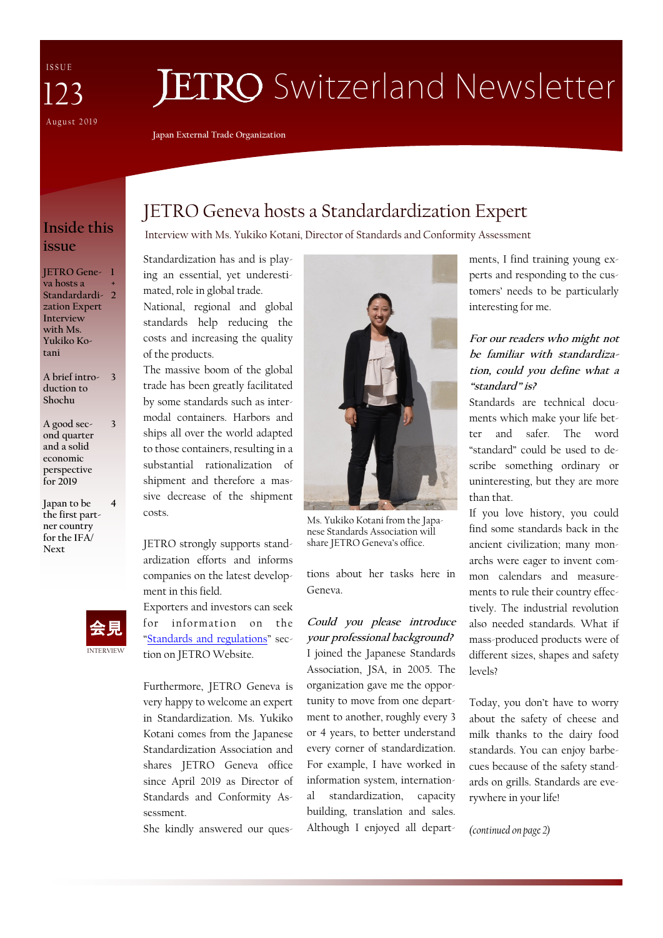I S S U E August 2019 123

# **JETRO** Switzerland Newsletter

**Japan External Trade Organization**

## **Inside this issue**

**JETRO Gene-1 va hosts a Standardardization Expert Interview with Ms. Yukiko Kotani + 2**

**A brief introduction to Shochu 3**

**3**

**4**

**A good second quarter and a solid economic perspective for 2019**

**Japan to be the first partner country for the IFA/ Next** 



# JETRO Geneva hosts a Standardardization Expert

Interview with Ms. Yukiko Kotani, Director of Standards and Conformity Assessment

Standardization has and is playing an essential, yet underestimated, role in global trade.

National, regional and global standards help reducing the costs and increasing the quality of the products.

The massive boom of the global trade has been greatly facilitated by some standards such as intermodal containers. Harbors and ships all over the world adapted to those containers, resulting in a substantial rationalization of shipment and therefore a massive decrease of the shipment costs.

JETRO strongly supports standardization efforts and informs companies on the latest development in this field.

Exporters and investors can seek for information on the "[Standards and regulations](https://www.jetro.go.jp/en/reports/regulations)" section on JETRO Website.

Furthermore, JETRO Geneva is very happy to welcome an expert in Standardization. Ms. Yukiko Kotani comes from the Japanese Standardization Association and shares JETRO Geneva office since April 2019 as Director of Standards and Conformity Assessment.

She kindly answered our ques-



Ms. Yukiko Kotani from the Japanese Standards Association will share JETRO Geneva's office.

tions about her tasks here in Geneva.

### **Could you please introduce your professional background?** I joined the Japanese Standards Association, JSA, in 2005. The

organization gave me the opportunity to move from one department to another, roughly every 3 or 4 years, to better understand every corner of standardization. For example, I have worked in information system, international standardization, capacity building, translation and sales. Although I enjoyed all departments, I find training young experts and responding to the customers' needs to be particularly interesting for me.

#### **For our readers who might not be familiar with standardization, could you define what a "standard" is?**

Standards are technical documents which make your life better and safer. The word "standard" could be used to describe something ordinary or uninteresting, but they are more than that.

If you love history, you could find some standards back in the ancient civilization; many monarchs were eager to invent common calendars and measurements to rule their country effectively. The industrial revolution also needed standards. What if mass-produced products were of different sizes, shapes and safety levels?

Today, you don't have to worry about the safety of cheese and milk thanks to the dairy food standards. You can enjoy barbecues because of the safety standards on grills. Standards are everywhere in your life!

*(continued on page 2)*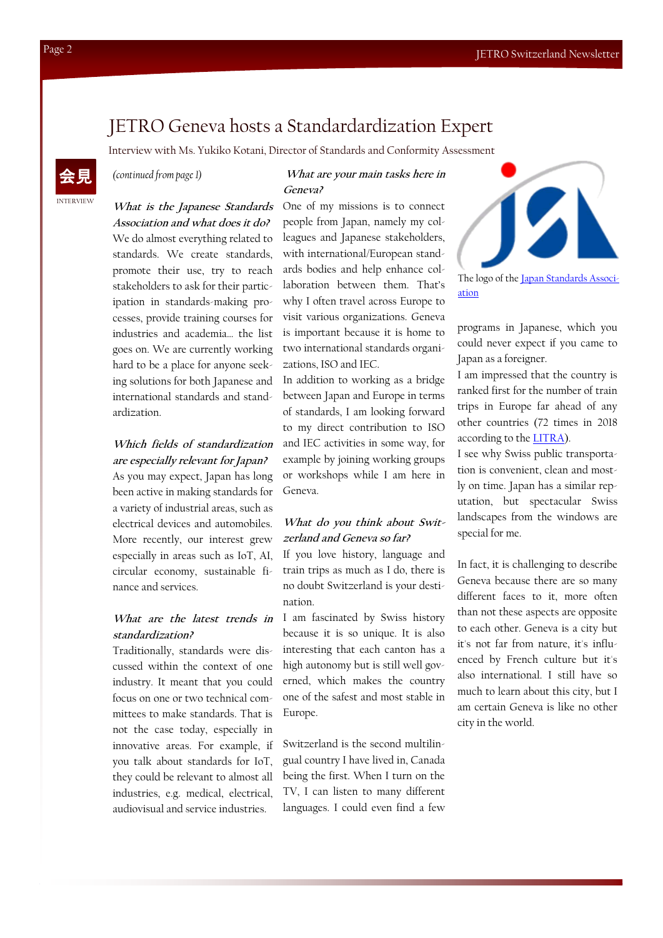## JETRO Geneva hosts a Standardardization Expert

Interview with Ms. Yukiko Kotani, Director of Standards and Conformity Assessment

*(continued from page 1)* 

#### **What are your main tasks here in Geneva?**

**What is the Japanese Standards Association and what does it do?**  We do almost everything related to standards. We create standards, promote their use, try to reach stakeholders to ask for their participation in standards-making processes, provide training courses for industries and academia… the list goes on. We are currently working hard to be a place for anyone seeking solutions for both Japanese and international standards and standardization.

#### **Which fields of standardization are especially relevant for Japan?** As you may expect, Japan has long

been active in making standards for a variety of industrial areas, such as electrical devices and automobiles. More recently, our interest grew especially in areas such as IoT, AI, circular economy, sustainable finance and services.

#### What are the latest trends in I am fascinated by Swiss history **standardization?**

Traditionally, standards were discussed within the context of one industry. It meant that you could focus on one or two technical committees to make standards. That is not the case today, especially in innovative areas. For example, if you talk about standards for IoT, they could be relevant to almost all industries, e.g. medical, electrical, audiovisual and service industries.

One of my missions is to connect people from Japan, namely my colleagues and Japanese stakeholders, with international/European standards bodies and help enhance collaboration between them. That's why I often travel across Europe to visit various organizations. Geneva is important because it is home to two international standards organizations, ISO and IEC.

In addition to working as a bridge between Japan and Europe in terms of standards, I am looking forward to my direct contribution to ISO and IEC activities in some way, for example by joining working groups or workshops while I am here in Geneva.

#### **What do you think about Switzerland and Geneva so far?**

If you love history, language and train trips as much as I do, there is no doubt Switzerland is your destination.

because it is so unique. It is also interesting that each canton has a high autonomy but is still well governed, which makes the country one of the safest and most stable in Europe.

Switzerland is the second multilingual country I have lived in, Canada being the first. When I turn on the TV, I can listen to many different languages. I could even find a few



The logo of the [Japan Standards Associ](https://www.jsa.or.jp/en/)[ation](https://www.jsa.or.jp/en/)

programs in Japanese, which you could never expect if you came to Japan as a foreigner.

I am impressed that the country is ranked first for the number of train trips in Europe far ahead of any other countries (72 times in 2018 according to the [LITRA\).](https://litra.ch/de/aktuelles/schweiz-bleibt-europameisterin-im-bahnfahren1/)

I see why Swiss public transportation is convenient, clean and mostly on time. Japan has a similar reputation, but spectacular Swiss landscapes from the windows are special for me.

In fact, it is challenging to describe Geneva because there are so many different faces to it, more often than not these aspects are opposite to each other. Geneva is a city but it's not far from nature, it's influenced by French culture but it's also international. I still have so much to learn about this city, but I am certain Geneva is like no other city in the world.

INTERVIEW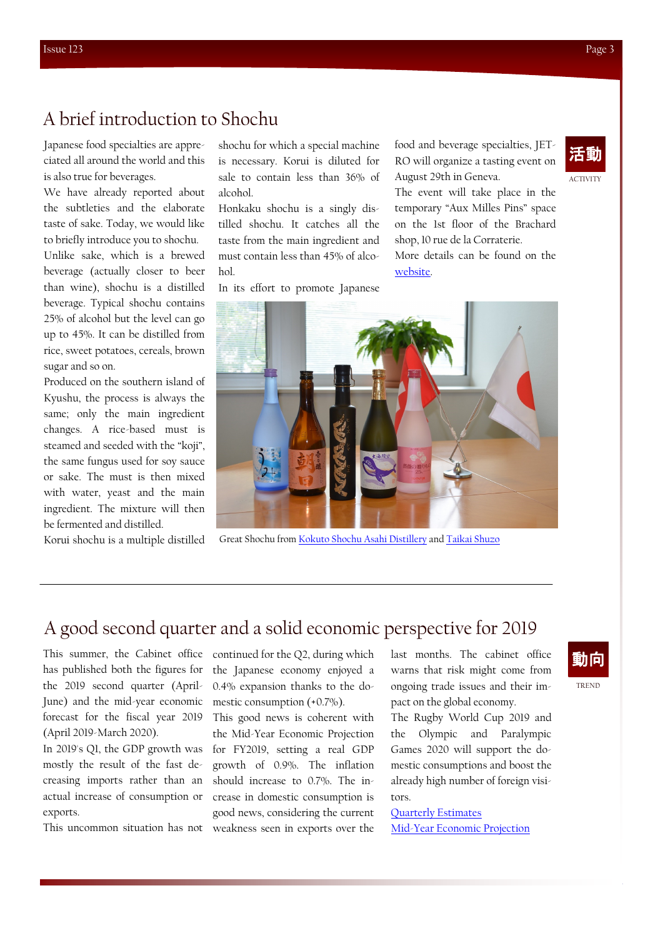# A brief introduction to Shochu

Japanese food specialties are appreciated all around the world and this is also true for beverages.

We have already reported about the subtleties and the elaborate taste of sake. Today, we would like to briefly introduce you to shochu.

Unlike sake, which is a brewed beverage (actually closer to beer than wine), shochu is a distilled beverage. Typical shochu contains 25% of alcohol but the level can go up to 45%. It can be distilled from rice, sweet potatoes, cereals, brown sugar and so on.

Produced on the southern island of Kyushu, the process is always the same; only the main ingredient changes. A rice-based must is steamed and seeded with the "koji", the same fungus used for soy sauce or sake. The must is then mixed with water, yeast and the main ingredient. The mixture will then be fermented and distilled.

Korui shochu is a multiple distilled

shochu for which a special machine is necessary. Korui is diluted for sale to contain less than 36% of alcohol.

Honkaku shochu is a singly distilled shochu. It catches all the taste from the main ingredient and must contain less than 45% of alcohol.

In its effort to promote Japanese

food and beverage specialties, JET-RO will organize a tasting event on August 29th in Geneva.

The event will take place in the temporary "Aux Milles Pins" space on the 1st floor of the Brachard shop, 10 rue de la Corraterie. More details can be found on the [website.](https://www.jetro.go.jp/switzerland/_435871/_443323.html)

Great Shochu from [Kokuto Shochu Asahi Distillery](http://kokuto-asahi.co.jp/eng/products/) and [Taikai Shuzo](http://www.taikai.or.jp/product/index.html)

# A good second quarter and a solid economic perspective for 2019

This summer, the Cabinet office has published both the figures for the 2019 second quarter (April-June) and the mid-year economic forecast for the fiscal year 2019 (April 2019-March 2020).

In 2019's Q1, the GDP growth was mostly the result of the fast decreasing imports rather than an actual increase of consumption or exports.

This uncommon situation has not

continued for the Q2, during which the Japanese economy enjoyed a 0.4% expansion thanks to the domestic consumption (+0.7%).

This good news is coherent with the Mid-Year Economic Projection for FY2019, setting a real GDP growth of 0.9%. The inflation should increase to 0.7%. The increase in domestic consumption is good news, considering the current weakness seen in exports over the last months. The cabinet office warns that risk might come from ongoing trade issues and their impact on the global economy.

The Rugby World Cup 2019 and the Olympic and Paralympic Games 2020 will support the domestic consumptions and boost the already high number of foreign visitors.

[Quarterly Estimates](https://www.esri.cao.go.jp/jp/sna/data/data_list/sokuhou/gaiyou/pdf/main_1e.pdf) [Mid-Year Economic Projection](https://www5.cao.go.jp/keizai/mitoshi/2019/r010729shisan-e.pdf)

# 動向

TREND